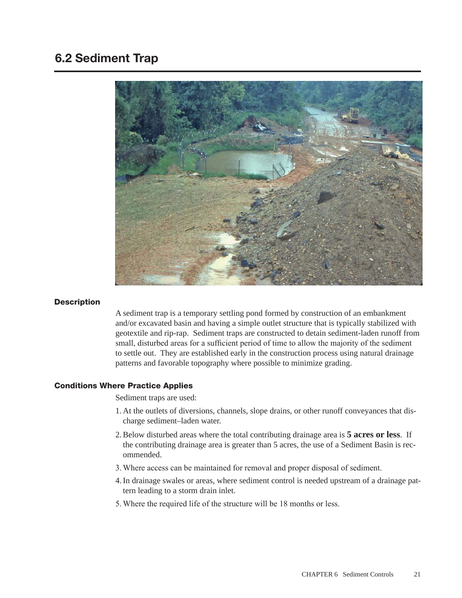# 6.2 Sediment Trap



### **Description**

A sediment trap is a temporary settling pond formed by construction of an embankment and/or excavated basin and having a simple outlet structure that is typically stabilized with geotextile and rip-rap. Sediment traps are constructed to detain sediment-laden runoff from small, disturbed areas for a sufficient period of time to allow the majority of the sediment to settle out. They are established early in the construction process using natural drainage patterns and favorable topography where possible to minimize grading.

## Conditions Where Practice Applies

Sediment traps are used:

- 1. At the outlets of diversions, channels, slope drains, or other runoff conveyances that discharge sediment–laden water.
- 2.Below disturbed areas where the total contributing drainage area is **5 acres or less**. If the contributing drainage area is greater than 5 acres, the use of a Sediment Basin is recommended.
- 3. Where access can be maintained for removal and proper disposal of sediment.
- 4.In drainage swales or areas, where sediment control is needed upstream of a drainage pattern leading to a storm drain inlet.
- 5. Where the required life of the structure will be 18 months or less.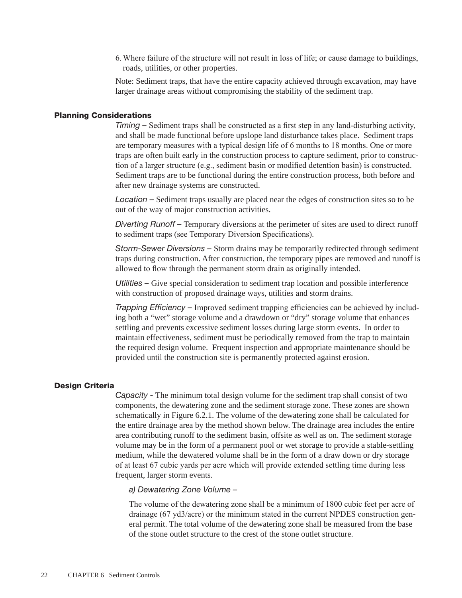6. Where failure of the structure will not result in loss of life; or cause damage to buildings, roads, utilities, or other properties.

Note: Sediment traps, that have the entire capacity achieved through excavation, may have larger drainage areas without compromising the stability of the sediment trap.

### Planning Considerations

*Timing –* Sediment traps shall be constructed as a first step in any land-disturbing activity, and shall be made functional before upslope land disturbance takes place. Sediment traps are temporary measures with a typical design life of 6 months to 18 months. One or more traps are often built early in the construction process to capture sediment, prior to construction of a larger structure (e.g., sediment basin or modified detention basin) is constructed. Sediment traps are to be functional during the entire construction process, both before and after new drainage systems are constructed.

*Location –* Sediment traps usually are placed near the edges of construction sites so to be out of the way of major construction activities.

*Diverting Runoff –* Temporary diversions at the perimeter of sites are used to direct runoff to sediment traps (see Temporary Diversion Specifications).

*Storm-Sewer Diversions –* Storm drains may be temporarily redirected through sediment traps during construction. After construction, the temporary pipes are removed and runoff is allowed to flow through the permanent storm drain as originally intended.

*Utilities –* Give special consideration to sediment trap location and possible interference with construction of proposed drainage ways, utilities and storm drains.

*Trapping Efficiency –* Improved sediment trapping efficiencies can be achieved by including both a "wet" storage volume and a drawdown or "dry" storage volume that enhances settling and prevents excessive sediment losses during large storm events. In order to maintain effectiveness, sediment must be periodically removed from the trap to maintain the required design volume. Frequent inspection and appropriate maintenance should be provided until the construction site is permanently protected against erosion.

#### Design Criteria

*Capacity -* The minimum total design volume for the sediment trap shall consist of two components, the dewatering zone and the sediment storage zone. These zones are shown schematically in Figure 6.2.1. The volume of the dewatering zone shall be calculated for the entire drainage area by the method shown below. The drainage area includes the entire area contributing runoff to the sediment basin, offsite as well as on. The sediment storage volume may be in the form of a permanent pool or wet storage to provide a stable-settling medium, while the dewatered volume shall be in the form of a draw down or dry storage of at least 67 cubic yards per acre which will provide extended settling time during less frequent, larger storm events.

### *a) Dewatering Zone Volume –*

The volume of the dewatering zone shall be a minimum of 1800 cubic feet per acre of drainage (67 yd3/acre) or the minimum stated in the current NPDES construction general permit. The total volume of the dewatering zone shall be measured from the base of the stone outlet structure to the crest of the stone outlet structure.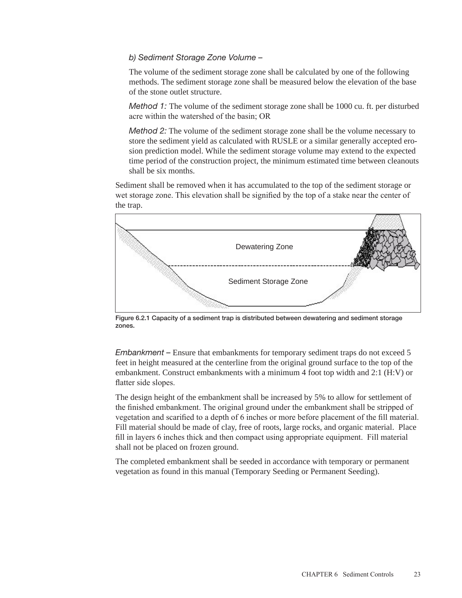## *b) Sediment Storage Zone Volume –*

The volume of the sediment storage zone shall be calculated by one of the following methods. The sediment storage zone shall be measured below the elevation of the base of the stone outlet structure.

*Method 1:* The volume of the sediment storage zone shall be 1000 cu. ft. per disturbed acre within the watershed of the basin; OR

*Method 2:* The volume of the sediment storage zone shall be the volume necessary to store the sediment yield as calculated with RUSLE or a similar generally accepted erosion prediction model. While the sediment storage volume may extend to the expected time period of the construction project, the minimum estimated time between cleanouts shall be six months.

Sediment shall be removed when it has accumulated to the top of the sediment storage or wet storage zone. This elevation shall be signified by the top of a stake near the center of the trap.



Figure 6.2.1 Capacity of a sediment trap is distributed between dewatering and sediment storage zones.

*Embankment –* Ensure that embankments for temporary sediment traps do not exceed 5 feet in height measured at the centerline from the original ground surface to the top of the embankment. Construct embankments with a minimum 4 foot top width and 2:1 (H:V) or flatter side slopes.

The design height of the embankment shall be increased by 5% to allow for settlement of the finished embankment. The original ground under the embankment shall be stripped of vegetation and scarified to a depth of 6 inches or more before placement of the fill material. Fill material should be made of clay, free of roots, large rocks, and organic material. Place fill in layers 6 inches thick and then compact using appropriate equipment. Fill material shall not be placed on frozen ground.

The completed embankment shall be seeded in accordance with temporary or permanent vegetation as found in this manual (Temporary Seeding or Permanent Seeding).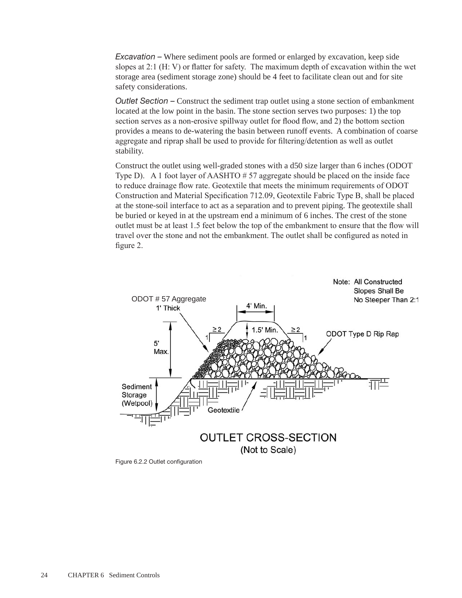*Excavation –* Where sediment pools are formed or enlarged by excavation, keep side slopes at 2:1 (H: V) or flatter for safety. The maximum depth of excavation within the wet storage area (sediment storage zone) should be 4 feet to facilitate clean out and for site safety considerations.

*Outlet Section –* Construct the sediment trap outlet using a stone section of embankment located at the low point in the basin. The stone section serves two purposes: 1) the top section serves as a non-erosive spillway outlet for flood flow, and 2) the bottom section provides a means to de-watering the basin between runoff events. A combination of coarse aggregate and riprap shall be used to provide for filtering/detention as well as outlet stability.

Construct the outlet using well-graded stones with a d50 size larger than 6 inches (ODOT Type D). A 1 foot layer of AASHTO  $# 57$  aggregate should be placed on the inside face to reduce drainage flow rate. Geotextile that meets the minimum requirements of ODOT Construction and Material Specification 712.09, Geotextile Fabric Type B, shall be placed at the stone-soil interface to act as a separation and to prevent piping. The geotextile shall be buried or keyed in at the upstream end a minimum of 6 inches. The crest of the stone outlet must be at least 1.5 feet below the top of the embankment to ensure that the flow will travel over the stone and not the embankment. The outlet shall be configured as noted in figure 2.



Figure 6.2.2 Outlet configuration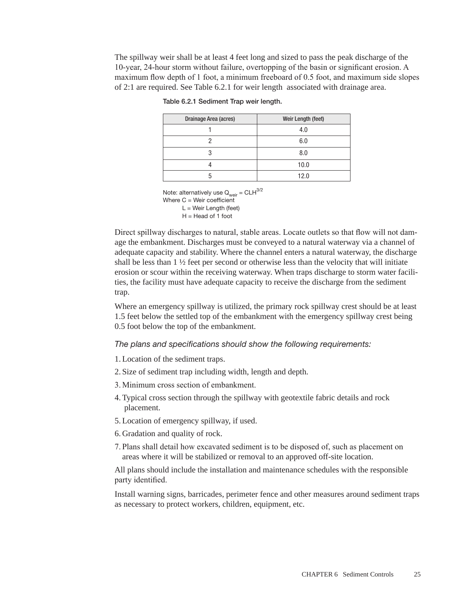The spillway weir shall be at least 4 feet long and sized to pass the peak discharge of the 10-year, 24-hour storm without failure, overtopping of the basin or significant erosion. A maximum flow depth of 1 foot, a minimum freeboard of 0.5 foot, and maximum side slopes of 2:1 are required. See Table 6.2.1 for weir length associated with drainage area.

| Drainage Area (acres) | Weir Length (feet) |
|-----------------------|--------------------|
|                       | 4.0                |
|                       | 6.0                |
| 3                     | 8.0                |
|                       | 10.0               |
| 'n                    | 12.0               |

Table 6.2.1 Sediment Trap weir length.

Note: alternatively use  $Q_{\text{weir}} = CLH^{3/2}$ Where C = Weir coefficient L = Weir Length (feet)  $H = Head of 1 foot$ 

Direct spillway discharges to natural, stable areas. Locate outlets so that flow will not damage the embankment. Discharges must be conveyed to a natural waterway via a channel of adequate capacity and stability. Where the channel enters a natural waterway, the discharge shall be less than  $1 \frac{1}{2}$  feet per second or otherwise less than the velocity that will initiate erosion or scour within the receiving waterway. When traps discharge to storm water facilities, the facility must have adequate capacity to receive the discharge from the sediment trap.

Where an emergency spillway is utilized, the primary rock spillway crest should be at least 1.5 feet below the settled top of the embankment with the emergency spillway crest being 0.5 foot below the top of the embankment.

# *The plans and specifications should show the following requirements:*

1. Location of the sediment traps.

- 2. Size of sediment trap including width, length and depth.
- 3. Minimum cross section of embankment.
- 4. Typical cross section through the spillway with geotextile fabric details and rock placement.
- 5. Location of emergency spillway, if used.
- 6. Gradation and quality of rock.
- 7. Plans shall detail how excavated sediment is to be disposed of, such as placement on areas where it will be stabilized or removal to an approved off-site location.

All plans should include the installation and maintenance schedules with the responsible party identified.

Install warning signs, barricades, perimeter fence and other measures around sediment traps as necessary to protect workers, children, equipment, etc.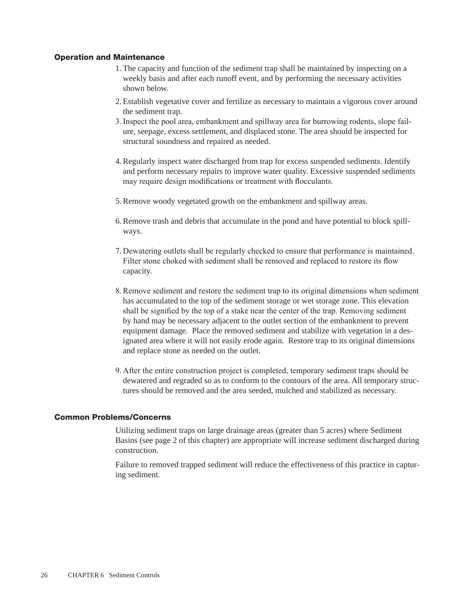## Operation and Maintenance

- 1. The capacity and function of the sediment trap shall be maintained by inspecting on a weekly basis and after each runoff event, and by performing the necessary activities shown below.
- 2. Establish vegetative cover and fertilize as necessary to maintain a vigorous cover around the sediment trap.
- 3.Inspect the pool area, embankment and spillway area for burrowing rodents, slope failure, seepage, excess settlement, and displaced stone. The area should be inspected for structural soundness and repaired as needed.
- 4.Regularly inspect water discharged from trap for excess suspended sediments. Identify and perform necessary repairs to improve water quality. Excessive suspended sediments may require design modifications or treatment with flocculants.
- 5.Remove woody vegetated growth on the embankment and spillway areas.
- 6.Remove trash and debris that accumulate in the pond and have potential to block spillways.
- 7. Dewatering outlets shall be regularly checked to ensure that performance is maintained. Filter stone choked with sediment shall be removed and replaced to restore its flow capacity.
- 8.Remove sediment and restore the sediment trap to its original dimensions when sediment has accumulated to the top of the sediment storage or wet storage zone. This elevation shall be signified by the top of a stake near the center of the trap. Removing sediment by hand may be necessary adjacent to the outlet section of the embankment to prevent equipment damage. Place the removed sediment and stabilize with vegetation in a designated area where it will not easily erode again. Restore trap to its original dimensions and replace stone as needed on the outlet.
- 9. After the entire construction project is completed, temporary sediment traps should be dewatered and regraded so as to conform to the contours of the area. All temporary structures should be removed and the area seeded, mulched and stabilized as necessary.

#### Common Problems/Concerns

Utilizing sediment traps on large drainage areas (greater than 5 acres) where Sediment Basins (see page 2 of this chapter) are appropriate will increase sediment discharged during construction.

Failure to removed trapped sediment will reduce the effectiveness of this practice in capturing sediment.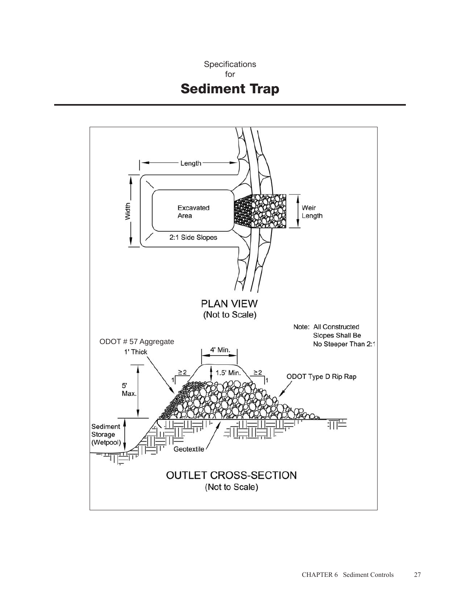